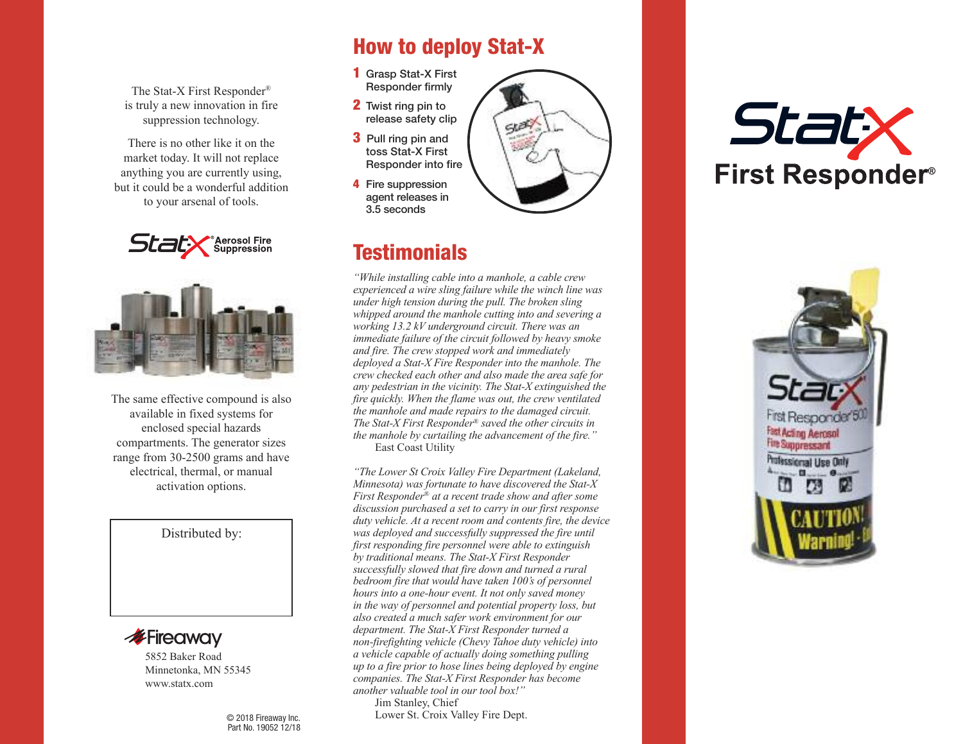The Stat-X First Responder® is truly a new innovation in fire suppression technology.

There is no other like it on the market today. It will not replace anything you are currently using, but it could be a wonderful addition to your arsenal of tools.





The same effective compound is also available in fixed systems for enclosed special hazards compartments. The generator sizes range from 30-2500 grams and have electrical, thermal, or manual activation options.

#### Distributed by:



Minnetonka, MN 55345 www.statx.com

> © 2018 Fireaway Inc. Part No. 19052 12/18

## **How to deploy Stat-X**

- **1** Grasp Stat-X First Responder firmly
- **2** Twist ring pin to release safety clip
- **3** Pull ring pin and toss Stat-X First Responder into fire
- **4** Fire suppression agent releases in 3.5 seconds



*"While installing cable into a manhole, a cable crew experienced a wire sling failure while the winch line was under high tension during the pull. The broken sling whipped around the manhole cutting into and severing a working 13.2 kV underground circuit. There was an immediate failure of the circuit followed by heavy smoke and fire. The crew stopped work and immediately deployed a Stat-X Fire Responder into the manhole. The crew checked each other and also made the area safe for any pedestrian in the vicinity. The Stat-X extinguished the fire quickly. When the flame was out, the crew ventilated the manhole and made repairs to the damaged circuit. The Stat-X First Responder® saved the other circuits in the manhole by curtailing the advancement of the fire."* East Coast Utility

*"The Lower St Croix Valley Fire Department (Lakeland, Minnesota) was fortunate to have discovered the Stat-X First Responder® at a recent trade show and after some discussion purchased a set to carry in our first response duty vehicle. At a recent room and contents fire, the device was deployed and successfully suppressed the fire until first responding fire personnel were able to extinguish by traditional means. The Stat-X First Responder successfully slowed that fire down and turned a rural bedroom fire that would have taken 100's of personnel hours into a one-hour event. It not only saved money in the way of personnel and potential property loss, but also created a much safer work environment for our department. The Stat-X First Responder turned a non-firefighting vehicle (Chevy Tahoe duty vehicle) into a vehicle capable of actually doing something pulling up to a fire prior to hose lines being deployed by engine companies. The Stat-X First Responder has become another valuable tool in our tool box!"*

Jim Stanley, Chief Lower St. Croix Valley Fire Dept.